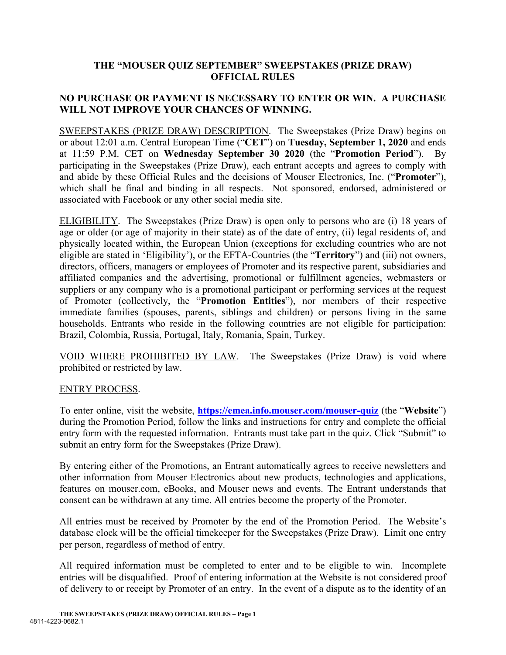## **THE "MOUSER QUIZ SEPTEMBER" SWEEPSTAKES (PRIZE DRAW) OFFICIAL RULES**

## **NO PURCHASE OR PAYMENT IS NECESSARY TO ENTER OR WIN. A PURCHASE WILL NOT IMPROVE YOUR CHANCES OF WINNING.**

SWEEPSTAKES (PRIZE DRAW) DESCRIPTION. The Sweepstakes (Prize Draw) begins on or about 12:01 a.m. Central European Time ("**CET**") on **Tuesday, September 1, 2020** and ends at 11:59 P.M. CET on **Wednesday September 30 2020** (the "**Promotion Period**"). By participating in the Sweepstakes (Prize Draw), each entrant accepts and agrees to comply with and abide by these Official Rules and the decisions of Mouser Electronics, Inc. ("**Promoter**"), which shall be final and binding in all respects. Not sponsored, endorsed, administered or associated with Facebook or any other social media site.

ELIGIBILITY. The Sweepstakes (Prize Draw) is open only to persons who are (i) 18 years of age or older (or age of majority in their state) as of the date of entry, (ii) legal residents of, and physically located within, the European Union (exceptions for excluding countries who are not eligible are stated in 'Eligibility'), or the EFTA-Countries (the "**Territory**") and (iii) not owners, directors, officers, managers or employees of Promoter and its respective parent, subsidiaries and affiliated companies and the advertising, promotional or fulfillment agencies, webmasters or suppliers or any company who is a promotional participant or performing services at the request of Promoter (collectively, the "**Promotion Entities**"), nor members of their respective immediate families (spouses, parents, siblings and children) or persons living in the same households. Entrants who reside in the following countries are not eligible for participation: Brazil, Colombia, Russia, Portugal, Italy, Romania, Spain, Turkey.

VOID WHERE PROHIBITED BY LAW. The Sweepstakes (Prize Draw) is void where prohibited or restricted by law.

## ENTRY PROCESS.

To enter online, visit the website, **<https://emea.info.mouser.com/mouser-quiz>** (the "**Website**") during the Promotion Period, follow the links and instructions for entry and complete the official entry form with the requested information. Entrants must take part in the quiz. Click "Submit" to submit an entry form for the Sweepstakes (Prize Draw).

By entering either of the Promotions, an Entrant automatically agrees to receive newsletters and other information from Mouser Electronics about new products, technologies and applications, features on mouser.com, eBooks, and Mouser news and events. The Entrant understands that consent can be withdrawn at any time. All entries become the property of the Promoter.

All entries must be received by Promoter by the end of the Promotion Period. The Website's database clock will be the official timekeeper for the Sweepstakes (Prize Draw). Limit one entry per person, regardless of method of entry.

All required information must be completed to enter and to be eligible to win. Incomplete entries will be disqualified. Proof of entering information at the Website is not considered proof of delivery to or receipt by Promoter of an entry. In the event of a dispute as to the identity of an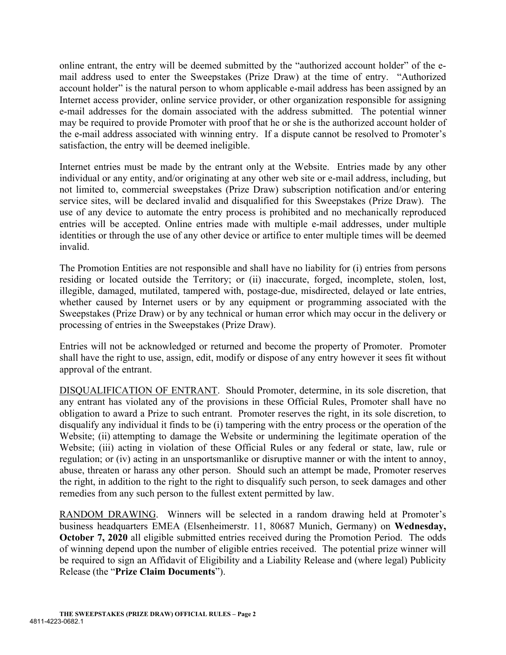online entrant, the entry will be deemed submitted by the "authorized account holder" of the email address used to enter the Sweepstakes (Prize Draw) at the time of entry. "Authorized account holder" is the natural person to whom applicable e-mail address has been assigned by an Internet access provider, online service provider, or other organization responsible for assigning e-mail addresses for the domain associated with the address submitted. The potential winner may be required to provide Promoter with proof that he or she is the authorized account holder of the e-mail address associated with winning entry. If a dispute cannot be resolved to Promoter's satisfaction, the entry will be deemed ineligible.

Internet entries must be made by the entrant only at the Website. Entries made by any other individual or any entity, and/or originating at any other web site or e-mail address, including, but not limited to, commercial sweepstakes (Prize Draw) subscription notification and/or entering service sites, will be declared invalid and disqualified for this Sweepstakes (Prize Draw). The use of any device to automate the entry process is prohibited and no mechanically reproduced entries will be accepted. Online entries made with multiple e-mail addresses, under multiple identities or through the use of any other device or artifice to enter multiple times will be deemed invalid.

The Promotion Entities are not responsible and shall have no liability for (i) entries from persons residing or located outside the Territory; or (ii) inaccurate, forged, incomplete, stolen, lost, illegible, damaged, mutilated, tampered with, postage-due, misdirected, delayed or late entries, whether caused by Internet users or by any equipment or programming associated with the Sweepstakes (Prize Draw) or by any technical or human error which may occur in the delivery or processing of entries in the Sweepstakes (Prize Draw).

Entries will not be acknowledged or returned and become the property of Promoter. Promoter shall have the right to use, assign, edit, modify or dispose of any entry however it sees fit without approval of the entrant.

DISQUALIFICATION OF ENTRANT. Should Promoter, determine, in its sole discretion, that any entrant has violated any of the provisions in these Official Rules, Promoter shall have no obligation to award a Prize to such entrant. Promoter reserves the right, in its sole discretion, to disqualify any individual it finds to be (i) tampering with the entry process or the operation of the Website; (ii) attempting to damage the Website or undermining the legitimate operation of the Website; (iii) acting in violation of these Official Rules or any federal or state, law, rule or regulation; or (iv) acting in an unsportsmanlike or disruptive manner or with the intent to annoy, abuse, threaten or harass any other person. Should such an attempt be made, Promoter reserves the right, in addition to the right to the right to disqualify such person, to seek damages and other remedies from any such person to the fullest extent permitted by law.

RANDOM DRAWING. Winners will be selected in a random drawing held at Promoter's business headquarters EMEA (Elsenheimerstr. 11, 80687 Munich, Germany) on **Wednesday, October 7, 2020** all eligible submitted entries received during the Promotion Period. The odds of winning depend upon the number of eligible entries received. The potential prize winner will be required to sign an Affidavit of Eligibility and a Liability Release and (where legal) Publicity Release (the "**Prize Claim Documents**").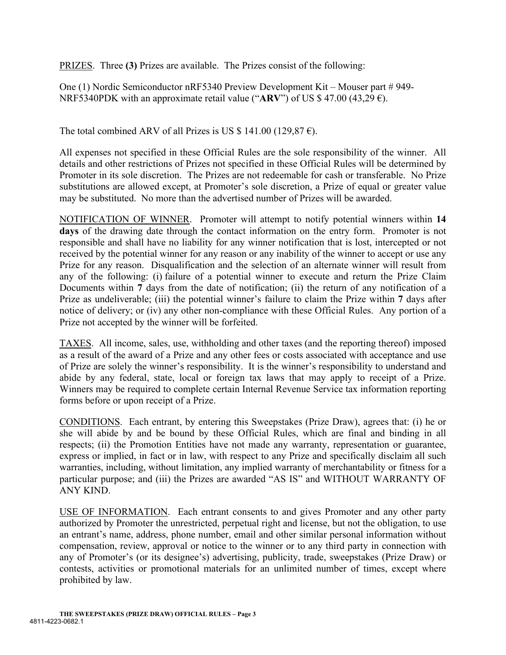PRIZES. Three **(3)** Prizes are available. The Prizes consist of the following:

One (1) Nordic Semiconductor nRF5340 Preview Development Kit – Mouser part # 949- NRF5340PDK with an approximate retail value (" $ARV$ ") of US \$ 47.00 (43,29  $\epsilon$ ).

The total combined ARV of all Prizes is US  $$141.00 (129.87 \text{ E}).$ 

All expenses not specified in these Official Rules are the sole responsibility of the winner. All details and other restrictions of Prizes not specified in these Official Rules will be determined by Promoter in its sole discretion. The Prizes are not redeemable for cash or transferable. No Prize substitutions are allowed except, at Promoter's sole discretion, a Prize of equal or greater value may be substituted. No more than the advertised number of Prizes will be awarded.

NOTIFICATION OF WINNER. Promoter will attempt to notify potential winners within **14 days** of the drawing date through the contact information on the entry form. Promoter is not responsible and shall have no liability for any winner notification that is lost, intercepted or not received by the potential winner for any reason or any inability of the winner to accept or use any Prize for any reason. Disqualification and the selection of an alternate winner will result from any of the following: (i) failure of a potential winner to execute and return the Prize Claim Documents within **7** days from the date of notification; (ii) the return of any notification of a Prize as undeliverable; (iii) the potential winner's failure to claim the Prize within **7** days after notice of delivery; or (iv) any other non-compliance with these Official Rules. Any portion of a Prize not accepted by the winner will be forfeited.

TAXES. All income, sales, use, withholding and other taxes (and the reporting thereof) imposed as a result of the award of a Prize and any other fees or costs associated with acceptance and use of Prize are solely the winner's responsibility. It is the winner's responsibility to understand and abide by any federal, state, local or foreign tax laws that may apply to receipt of a Prize. Winners may be required to complete certain Internal Revenue Service tax information reporting forms before or upon receipt of a Prize.

CONDITIONS. Each entrant, by entering this Sweepstakes (Prize Draw), agrees that: (i) he or she will abide by and be bound by these Official Rules, which are final and binding in all respects; (ii) the Promotion Entities have not made any warranty, representation or guarantee, express or implied, in fact or in law, with respect to any Prize and specifically disclaim all such warranties, including, without limitation, any implied warranty of merchantability or fitness for a particular purpose; and (iii) the Prizes are awarded "AS IS" and WITHOUT WARRANTY OF ANY KIND.

USE OF INFORMATION. Each entrant consents to and gives Promoter and any other party authorized by Promoter the unrestricted, perpetual right and license, but not the obligation, to use an entrant's name, address, phone number, email and other similar personal information without compensation, review, approval or notice to the winner or to any third party in connection with any of Promoter's (or its designee's) advertising, publicity, trade, sweepstakes (Prize Draw) or contests, activities or promotional materials for an unlimited number of times, except where prohibited by law.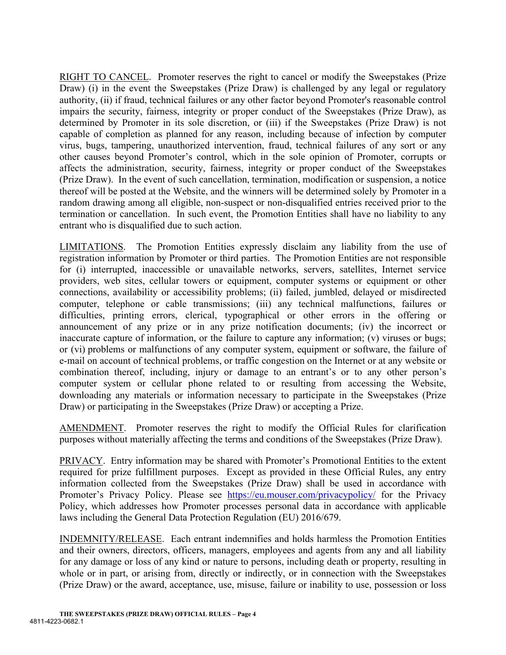RIGHT TO CANCEL. Promoter reserves the right to cancel or modify the Sweepstakes (Prize Draw) (i) in the event the Sweepstakes (Prize Draw) is challenged by any legal or regulatory authority, (ii) if fraud, technical failures or any other factor beyond Promoter's reasonable control impairs the security, fairness, integrity or proper conduct of the Sweepstakes (Prize Draw), as determined by Promoter in its sole discretion, or (iii) if the Sweepstakes (Prize Draw) is not capable of completion as planned for any reason, including because of infection by computer virus, bugs, tampering, unauthorized intervention, fraud, technical failures of any sort or any other causes beyond Promoter's control, which in the sole opinion of Promoter, corrupts or affects the administration, security, fairness, integrity or proper conduct of the Sweepstakes (Prize Draw). In the event of such cancellation, termination, modification or suspension, a notice thereof will be posted at the Website, and the winners will be determined solely by Promoter in a random drawing among all eligible, non-suspect or non-disqualified entries received prior to the termination or cancellation. In such event, the Promotion Entities shall have no liability to any entrant who is disqualified due to such action.

LIMITATIONS. The Promotion Entities expressly disclaim any liability from the use of registration information by Promoter or third parties. The Promotion Entities are not responsible for (i) interrupted, inaccessible or unavailable networks, servers, satellites, Internet service providers, web sites, cellular towers or equipment, computer systems or equipment or other connections, availability or accessibility problems; (ii) failed, jumbled, delayed or misdirected computer, telephone or cable transmissions; (iii) any technical malfunctions, failures or difficulties, printing errors, clerical, typographical or other errors in the offering or announcement of any prize or in any prize notification documents; (iv) the incorrect or inaccurate capture of information, or the failure to capture any information; (v) viruses or bugs; or (vi) problems or malfunctions of any computer system, equipment or software, the failure of e-mail on account of technical problems, or traffic congestion on the Internet or at any website or combination thereof, including, injury or damage to an entrant's or to any other person's computer system or cellular phone related to or resulting from accessing the Website, downloading any materials or information necessary to participate in the Sweepstakes (Prize Draw) or participating in the Sweepstakes (Prize Draw) or accepting a Prize.

AMENDMENT. Promoter reserves the right to modify the Official Rules for clarification purposes without materially affecting the terms and conditions of the Sweepstakes (Prize Draw).

PRIVACY. Entry information may be shared with Promoter's Promotional Entities to the extent required for prize fulfillment purposes. Except as provided in these Official Rules, any entry information collected from the Sweepstakes (Prize Draw) shall be used in accordance with Promoter's Privacy Policy. Please see <https://eu.mouser.com/privacypolicy/> for the Privacy Policy, which addresses how Promoter processes personal data in accordance with applicable laws including the General Data Protection Regulation (EU) 2016/679.

INDEMNITY/RELEASE. Each entrant indemnifies and holds harmless the Promotion Entities and their owners, directors, officers, managers, employees and agents from any and all liability for any damage or loss of any kind or nature to persons, including death or property, resulting in whole or in part, or arising from, directly or indirectly, or in connection with the Sweepstakes (Prize Draw) or the award, acceptance, use, misuse, failure or inability to use, possession or loss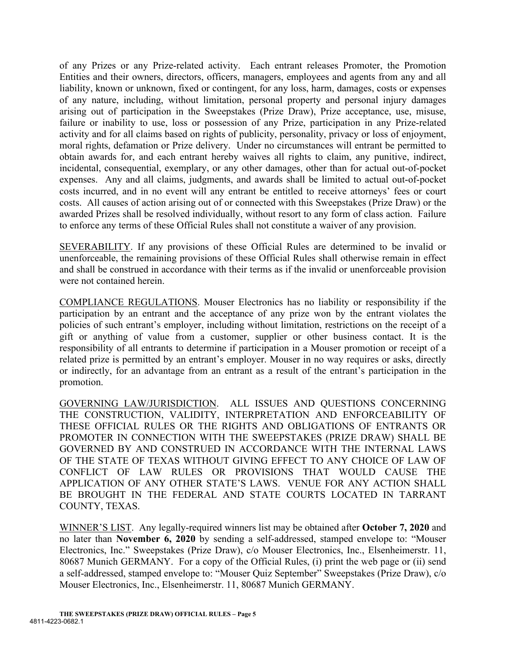of any Prizes or any Prize-related activity. Each entrant releases Promoter, the Promotion Entities and their owners, directors, officers, managers, employees and agents from any and all liability, known or unknown, fixed or contingent, for any loss, harm, damages, costs or expenses of any nature, including, without limitation, personal property and personal injury damages arising out of participation in the Sweepstakes (Prize Draw), Prize acceptance, use, misuse, failure or inability to use, loss or possession of any Prize, participation in any Prize-related activity and for all claims based on rights of publicity, personality, privacy or loss of enjoyment, moral rights, defamation or Prize delivery. Under no circumstances will entrant be permitted to obtain awards for, and each entrant hereby waives all rights to claim, any punitive, indirect, incidental, consequential, exemplary, or any other damages, other than for actual out-of-pocket expenses. Any and all claims, judgments, and awards shall be limited to actual out-of-pocket costs incurred, and in no event will any entrant be entitled to receive attorneys' fees or court costs. All causes of action arising out of or connected with this Sweepstakes (Prize Draw) or the awarded Prizes shall be resolved individually, without resort to any form of class action. Failure to enforce any terms of these Official Rules shall not constitute a waiver of any provision.

SEVERABILITY. If any provisions of these Official Rules are determined to be invalid or unenforceable, the remaining provisions of these Official Rules shall otherwise remain in effect and shall be construed in accordance with their terms as if the invalid or unenforceable provision were not contained herein.

COMPLIANCE REGULATIONS. Mouser Electronics has no liability or responsibility if the participation by an entrant and the acceptance of any prize won by the entrant violates the policies of such entrant's employer, including without limitation, restrictions on the receipt of a gift or anything of value from a customer, supplier or other business contact. It is the responsibility of all entrants to determine if participation in a Mouser promotion or receipt of a related prize is permitted by an entrant's employer. Mouser in no way requires or asks, directly or indirectly, for an advantage from an entrant as a result of the entrant's participation in the promotion.

GOVERNING LAW/JURISDICTION. ALL ISSUES AND QUESTIONS CONCERNING THE CONSTRUCTION, VALIDITY, INTERPRETATION AND ENFORCEABILITY OF THESE OFFICIAL RULES OR THE RIGHTS AND OBLIGATIONS OF ENTRANTS OR PROMOTER IN CONNECTION WITH THE SWEEPSTAKES (PRIZE DRAW) SHALL BE GOVERNED BY AND CONSTRUED IN ACCORDANCE WITH THE INTERNAL LAWS OF THE STATE OF TEXAS WITHOUT GIVING EFFECT TO ANY CHOICE OF LAW OF CONFLICT OF LAW RULES OR PROVISIONS THAT WOULD CAUSE THE APPLICATION OF ANY OTHER STATE'S LAWS. VENUE FOR ANY ACTION SHALL BE BROUGHT IN THE FEDERAL AND STATE COURTS LOCATED IN TARRANT COUNTY, TEXAS.

WINNER'S LIST. Any legally-required winners list may be obtained after **October 7, 2020** and no later than **November 6, 2020** by sending a self-addressed, stamped envelope to: "Mouser Electronics, Inc." Sweepstakes (Prize Draw), c/o Mouser Electronics, Inc., Elsenheimerstr. 11, 80687 Munich GERMANY. For a copy of the Official Rules, (i) print the web page or (ii) send a self-addressed, stamped envelope to: "Mouser Quiz September" Sweepstakes (Prize Draw), c/o Mouser Electronics, Inc., Elsenheimerstr. 11, 80687 Munich GERMANY.